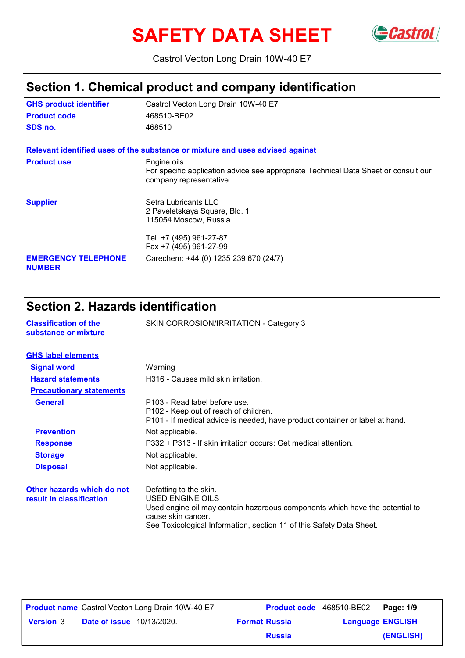# SAFETY DATA SHEET Gastrol



Castrol Vecton Long Drain 10W-40 E7

# **Section 1. Chemical product and company identification**

| <b>GHS product identifier</b>               | Castrol Vecton Long Drain 10W-40 E7                                                                                            |
|---------------------------------------------|--------------------------------------------------------------------------------------------------------------------------------|
| <b>Product code</b>                         | 468510-BE02                                                                                                                    |
| SDS no.                                     | 468510                                                                                                                         |
|                                             | Relevant identified uses of the substance or mixture and uses advised against                                                  |
| <b>Product use</b>                          | Engine oils.<br>For specific application advice see appropriate Technical Data Sheet or consult our<br>company representative. |
| <b>Supplier</b>                             | Setra Lubricants LLC<br>2 Paveletskaya Square, Bld. 1<br>115054 Moscow, Russia                                                 |
|                                             | Tel +7 (495) 961-27-87<br>Fax +7 (495) 961-27-99                                                                               |
| <b>EMERGENCY TELEPHONE</b><br><b>NUMBER</b> | Carechem: +44 (0) 1235 239 670 (24/7)                                                                                          |

# **Section 2. Hazards identification**

| <b>Classification of the</b><br>substance or mixture   | SKIN CORROSION/IRRITATION - Category 3                                                                                                                                                                                   |
|--------------------------------------------------------|--------------------------------------------------------------------------------------------------------------------------------------------------------------------------------------------------------------------------|
| <b>GHS label elements</b>                              |                                                                                                                                                                                                                          |
| <b>Signal word</b>                                     | Warning                                                                                                                                                                                                                  |
| <b>Hazard statements</b>                               | H316 - Causes mild skin irritation.                                                                                                                                                                                      |
| <b>Precautionary statements</b>                        |                                                                                                                                                                                                                          |
| <b>General</b>                                         | P103 - Read label before use.<br>P <sub>102</sub> - Keep out of reach of children.<br>P101 - If medical advice is needed, have product container or label at hand.                                                       |
| <b>Prevention</b>                                      | Not applicable.                                                                                                                                                                                                          |
| <b>Response</b>                                        | P332 + P313 - If skin irritation occurs: Get medical attention.                                                                                                                                                          |
| <b>Storage</b>                                         | Not applicable.                                                                                                                                                                                                          |
| <b>Disposal</b>                                        | Not applicable.                                                                                                                                                                                                          |
| Other hazards which do not<br>result in classification | Defatting to the skin.<br>USED ENGINE OILS<br>Used engine oil may contain hazardous components which have the potential to<br>cause skin cancer.<br>See Toxicological Information, section 11 of this Safety Data Sheet. |

|                  |                                  | <b>Product name</b> Castrol Vecton Long Drain 10W-40 E7 | <b>Product code</b> 468510-BE02 |                         | Page: 1/9 |
|------------------|----------------------------------|---------------------------------------------------------|---------------------------------|-------------------------|-----------|
| <b>Version 3</b> | <b>Date of issue</b> 10/13/2020. |                                                         | <b>Format Russia</b>            | <b>Language ENGLISH</b> |           |
|                  |                                  |                                                         | <b>Russia</b>                   |                         | (ENGLISH) |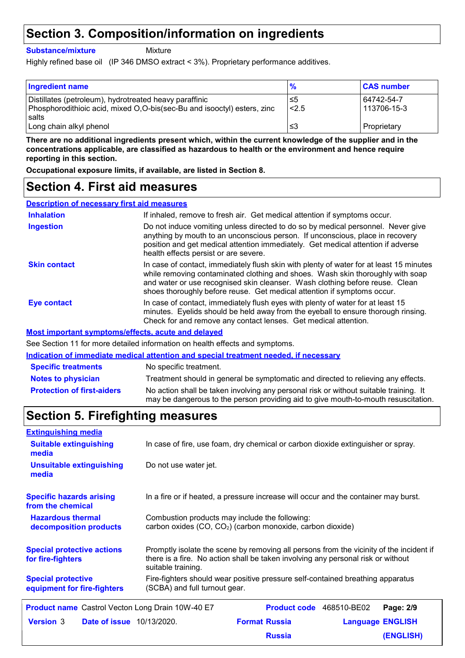### **Section 3. Composition/information on ingredients**

**Substance/mixture**

Mixture

Highly refined base oil (IP 346 DMSO extract < 3%). Proprietary performance additives.

| <b>Ingredient name</b>                                                                                                            | %           | <b>CAS number</b>         |
|-----------------------------------------------------------------------------------------------------------------------------------|-------------|---------------------------|
| Distillates (petroleum), hydrotreated heavy paraffinic<br>Phosphorodithioic acid, mixed O,O-bis(sec-Bu and isooctyl) esters, zinc | ≤5<br>< 2.5 | 64742-54-7<br>113706-15-3 |
| salts<br>Long chain alkyl phenol                                                                                                  | צ≥          | Proprietary               |

**There are no additional ingredients present which, within the current knowledge of the supplier and in the concentrations applicable, are classified as hazardous to health or the environment and hence require reporting in this section.**

**Occupational exposure limits, if available, are listed in Section 8.**

### **Section 4. First aid measures**

| <b>Description of necessary first aid measures</b> |                                                                                                                                                                                                                                                                                                                                      |
|----------------------------------------------------|--------------------------------------------------------------------------------------------------------------------------------------------------------------------------------------------------------------------------------------------------------------------------------------------------------------------------------------|
| <b>Inhalation</b>                                  | If inhaled, remove to fresh air. Get medical attention if symptoms occur.                                                                                                                                                                                                                                                            |
| <b>Ingestion</b>                                   | Do not induce vomiting unless directed to do so by medical personnel. Never give<br>anything by mouth to an unconscious person. If unconscious, place in recovery<br>position and get medical attention immediately. Get medical attention if adverse<br>health effects persist or are severe.                                       |
| <b>Skin contact</b>                                | In case of contact, immediately flush skin with plenty of water for at least 15 minutes<br>while removing contaminated clothing and shoes. Wash skin thoroughly with soap<br>and water or use recognised skin cleanser. Wash clothing before reuse. Clean<br>shoes thoroughly before reuse. Get medical attention if symptoms occur. |
| Eye contact                                        | In case of contact, immediately flush eyes with plenty of water for at least 15<br>minutes. Eyelids should be held away from the eyeball to ensure thorough rinsing.<br>Check for and remove any contact lenses. Get medical attention.                                                                                              |
|                                                    | <b>Most important symptoms/effects, acute and delayed</b>                                                                                                                                                                                                                                                                            |

See Section 11 for more detailed information on health effects and symptoms.

**Indication of immediate medical attention and special treatment needed, if necessary**

| <b>Specific treatments</b>        | No specific treatment.                                                                                                                                                      |
|-----------------------------------|-----------------------------------------------------------------------------------------------------------------------------------------------------------------------------|
| <b>Notes to physician</b>         | Treatment should in general be symptomatic and directed to relieving any effects.                                                                                           |
| <b>Protection of first-aiders</b> | No action shall be taken involving any personal risk or without suitable training. It<br>may be dangerous to the person providing aid to give mouth-to-mouth resuscitation. |

# **Section 5. Firefighting measures**

| <b>Extinguishing media</b>                               |                                                                                                                                                                                                   |                          |                         |
|----------------------------------------------------------|---------------------------------------------------------------------------------------------------------------------------------------------------------------------------------------------------|--------------------------|-------------------------|
| <b>Suitable extinguishing</b><br>media                   | In case of fire, use foam, dry chemical or carbon dioxide extinguisher or spray.                                                                                                                  |                          |                         |
| <b>Unsuitable extinguishing</b><br>media                 | Do not use water jet.                                                                                                                                                                             |                          |                         |
| <b>Specific hazards arising</b><br>from the chemical     | In a fire or if heated, a pressure increase will occur and the container may burst.                                                                                                               |                          |                         |
| <b>Hazardous thermal</b><br>decomposition products       | Combustion products may include the following:<br>carbon oxides (CO, CO <sub>2</sub> ) (carbon monoxide, carbon dioxide)                                                                          |                          |                         |
| <b>Special protective actions</b><br>for fire-fighters   | Promptly isolate the scene by removing all persons from the vicinity of the incident if<br>there is a fire. No action shall be taken involving any personal risk or without<br>suitable training. |                          |                         |
| <b>Special protective</b><br>equipment for fire-fighters | Fire-fighters should wear positive pressure self-contained breathing apparatus<br>(SCBA) and full turnout gear.                                                                                   |                          |                         |
| Product name Castrol Vecton Long Drain 10W-40 E7         |                                                                                                                                                                                                   | Product code 468510-BE02 | Page: 2/9               |
| <b>Version 3</b><br><b>Date of issue</b> 10/13/2020.     |                                                                                                                                                                                                   | <b>Format Russia</b>     | <b>Language ENGLISH</b> |
|                                                          |                                                                                                                                                                                                   | <b>Russia</b>            | (ENGLISH)               |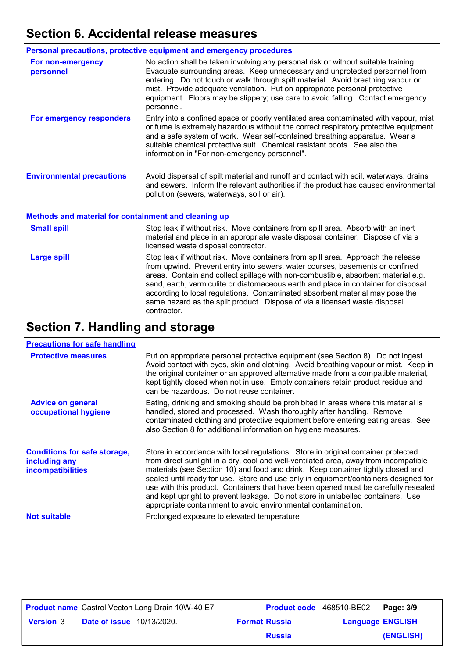# **Section 6. Accidental release measures**

|                                                      | <b>Personal precautions, protective equipment and emergency procedures</b>                                                                                                                                                                                                                                                                                                                                                           |
|------------------------------------------------------|--------------------------------------------------------------------------------------------------------------------------------------------------------------------------------------------------------------------------------------------------------------------------------------------------------------------------------------------------------------------------------------------------------------------------------------|
| For non-emergency<br>personnel                       | No action shall be taken involving any personal risk or without suitable training.<br>Evacuate surrounding areas. Keep unnecessary and unprotected personnel from<br>entering. Do not touch or walk through spilt material. Avoid breathing vapour or<br>mist. Provide adequate ventilation. Put on appropriate personal protective<br>equipment. Floors may be slippery; use care to avoid falling. Contact emergency<br>personnel. |
| For emergency responders                             | Entry into a confined space or poorly ventilated area contaminated with vapour, mist<br>or fume is extremely hazardous without the correct respiratory protective equipment<br>and a safe system of work. Wear self-contained breathing apparatus. Wear a<br>suitable chemical protective suit. Chemical resistant boots. See also the<br>information in "For non-emergency personnel".                                              |
| <b>Environmental precautions</b>                     | Avoid dispersal of spilt material and runoff and contact with soil, waterways, drains<br>and sewers. Inform the relevant authorities if the product has caused environmental<br>pollution (sewers, waterways, soil or air).                                                                                                                                                                                                          |
| Methods and material for containment and cleaning up |                                                                                                                                                                                                                                                                                                                                                                                                                                      |

| <b>Small spill</b> | Stop leak if without risk. Move containers from spill area. Absorb with an inert<br>material and place in an appropriate waste disposal container. Dispose of via a<br>licensed waste disposal contractor.                                                                                                                                                                                                                                                                                                               |
|--------------------|--------------------------------------------------------------------------------------------------------------------------------------------------------------------------------------------------------------------------------------------------------------------------------------------------------------------------------------------------------------------------------------------------------------------------------------------------------------------------------------------------------------------------|
| <b>Large spill</b> | Stop leak if without risk. Move containers from spill area. Approach the release<br>from upwind. Prevent entry into sewers, water courses, basements or confined<br>areas. Contain and collect spillage with non-combustible, absorbent material e.g.<br>sand, earth, vermiculite or diatomaceous earth and place in container for disposal<br>according to local regulations. Contaminated absorbent material may pose the<br>same hazard as the spilt product. Dispose of via a licensed waste disposal<br>contractor. |

# **Section 7. Handling and storage**

#### **Precautions for safe handling**

| <b>Protective measures</b>                                                       | Put on appropriate personal protective equipment (see Section 8). Do not ingest.<br>Avoid contact with eyes, skin and clothing. Avoid breathing vapour or mist. Keep in<br>the original container or an approved alternative made from a compatible material,<br>kept tightly closed when not in use. Empty containers retain product residue and<br>can be hazardous. Do not reuse container.                                                                                                                                                                                                 |
|----------------------------------------------------------------------------------|------------------------------------------------------------------------------------------------------------------------------------------------------------------------------------------------------------------------------------------------------------------------------------------------------------------------------------------------------------------------------------------------------------------------------------------------------------------------------------------------------------------------------------------------------------------------------------------------|
| <b>Advice on general</b><br>occupational hygiene                                 | Eating, drinking and smoking should be prohibited in areas where this material is<br>handled, stored and processed. Wash thoroughly after handling. Remove<br>contaminated clothing and protective equipment before entering eating areas. See<br>also Section 8 for additional information on hygiene measures.                                                                                                                                                                                                                                                                               |
| <b>Conditions for safe storage,</b><br>including any<br><b>incompatibilities</b> | Store in accordance with local regulations. Store in original container protected<br>from direct sunlight in a dry, cool and well-ventilated area, away from incompatible<br>materials (see Section 10) and food and drink. Keep container tightly closed and<br>sealed until ready for use. Store and use only in equipment/containers designed for<br>use with this product. Containers that have been opened must be carefully resealed<br>and kept upright to prevent leakage. Do not store in unlabelled containers. Use<br>appropriate containment to avoid environmental contamination. |
| <b>Not suitable</b>                                                              | Prolonged exposure to elevated temperature                                                                                                                                                                                                                                                                                                                                                                                                                                                                                                                                                     |

|                  |                                  | <b>Product name</b> Castrol Vecton Long Drain 10W-40 E7 |                      | <b>Product code</b> 468510-BE02   Page: 3/9 |           |
|------------------|----------------------------------|---------------------------------------------------------|----------------------|---------------------------------------------|-----------|
| <b>Version 3</b> | <b>Date of issue</b> 10/13/2020. |                                                         | <b>Format Russia</b> | <b>Language ENGLISH</b>                     |           |
|                  |                                  |                                                         | <b>Russia</b>        |                                             | (ENGLISH) |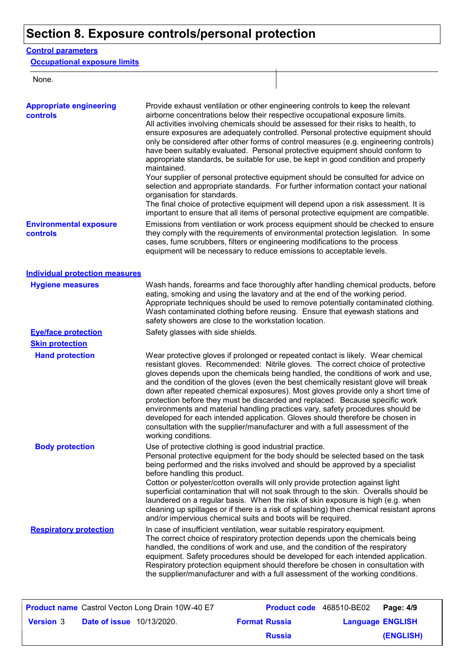# **Section 8. Exposure controls/personal protection**

#### **Control parameters**

**Occupational exposure limits**

None.

| <b>Appropriate engineering</b><br>controls       | Provide exhaust ventilation or other engineering controls to keep the relevant<br>airborne concentrations below their respective occupational exposure limits.<br>All activities involving chemicals should be assessed for their risks to health, to<br>ensure exposures are adequately controlled. Personal protective equipment should<br>only be considered after other forms of control measures (e.g. engineering controls)<br>have been suitably evaluated. Personal protective equipment should conform to<br>appropriate standards, be suitable for use, be kept in good condition and properly<br>maintained.<br>Your supplier of personal protective equipment should be consulted for advice on<br>selection and appropriate standards. For further information contact your national<br>organisation for standards.<br>The final choice of protective equipment will depend upon a risk assessment. It is<br>important to ensure that all items of personal protective equipment are compatible. |
|--------------------------------------------------|---------------------------------------------------------------------------------------------------------------------------------------------------------------------------------------------------------------------------------------------------------------------------------------------------------------------------------------------------------------------------------------------------------------------------------------------------------------------------------------------------------------------------------------------------------------------------------------------------------------------------------------------------------------------------------------------------------------------------------------------------------------------------------------------------------------------------------------------------------------------------------------------------------------------------------------------------------------------------------------------------------------|
| <b>Environmental exposure</b><br><b>controls</b> | Emissions from ventilation or work process equipment should be checked to ensure<br>they comply with the requirements of environmental protection legislation. In some<br>cases, fume scrubbers, filters or engineering modifications to the process<br>equipment will be necessary to reduce emissions to acceptable levels.                                                                                                                                                                                                                                                                                                                                                                                                                                                                                                                                                                                                                                                                                 |
| <b>Individual protection measures</b>            |                                                                                                                                                                                                                                                                                                                                                                                                                                                                                                                                                                                                                                                                                                                                                                                                                                                                                                                                                                                                               |
| <b>Hygiene measures</b>                          | Wash hands, forearms and face thoroughly after handling chemical products, before<br>eating, smoking and using the lavatory and at the end of the working period.<br>Appropriate techniques should be used to remove potentially contaminated clothing.<br>Wash contaminated clothing before reusing. Ensure that eyewash stations and<br>safety showers are close to the workstation location.                                                                                                                                                                                                                                                                                                                                                                                                                                                                                                                                                                                                               |
| <b>Eye/face protection</b>                       | Safety glasses with side shields.                                                                                                                                                                                                                                                                                                                                                                                                                                                                                                                                                                                                                                                                                                                                                                                                                                                                                                                                                                             |
| <b>Skin protection</b>                           |                                                                                                                                                                                                                                                                                                                                                                                                                                                                                                                                                                                                                                                                                                                                                                                                                                                                                                                                                                                                               |
| <b>Hand protection</b>                           | Wear protective gloves if prolonged or repeated contact is likely. Wear chemical<br>resistant gloves. Recommended: Nitrile gloves. The correct choice of protective<br>gloves depends upon the chemicals being handled, the conditions of work and use,<br>and the condition of the gloves (even the best chemically resistant glove will break<br>down after repeated chemical exposures). Most gloves provide only a short time of<br>protection before they must be discarded and replaced. Because specific work<br>environments and material handling practices vary, safety procedures should be<br>developed for each intended application. Gloves should therefore be chosen in<br>consultation with the supplier/manufacturer and with a full assessment of the<br>working conditions.                                                                                                                                                                                                               |
| <b>Body protection</b>                           | Use of protective clothing is good industrial practice.<br>Personal protective equipment for the body should be selected based on the task<br>being performed and the risks involved and should be approved by a specialist<br>before handling this product.<br>Cotton or polyester/cotton overalls will only provide protection against light<br>superficial contamination that will not soak through to the skin. Overalls should be<br>laundered on a regular basis. When the risk of skin exposure is high (e.g. when<br>cleaning up spillages or if there is a risk of splashing) then chemical resistant aprons<br>and/or impervious chemical suits and boots will be required.                                                                                                                                                                                                                                                                                                                         |
| <b>Respiratory protection</b>                    | In case of insufficient ventilation, wear suitable respiratory equipment.<br>The correct choice of respiratory protection depends upon the chemicals being<br>handled, the conditions of work and use, and the condition of the respiratory<br>equipment. Safety procedures should be developed for each intended application.<br>Respiratory protection equipment should therefore be chosen in consultation with<br>the supplier/manufacturer and with a full assessment of the working conditions.                                                                                                                                                                                                                                                                                                                                                                                                                                                                                                         |

|                  |                                  | <b>Product name</b> Castrol Vecton Long Drain 10W-40 E7 | <b>Product code</b> 468510-BE02 |                         | Page: 4/9 |
|------------------|----------------------------------|---------------------------------------------------------|---------------------------------|-------------------------|-----------|
| <b>Version 3</b> | <b>Date of issue</b> 10/13/2020. |                                                         | <b>Format Russia</b>            | <b>Language ENGLISH</b> |           |
|                  |                                  |                                                         | <b>Russia</b>                   |                         | (ENGLISH) |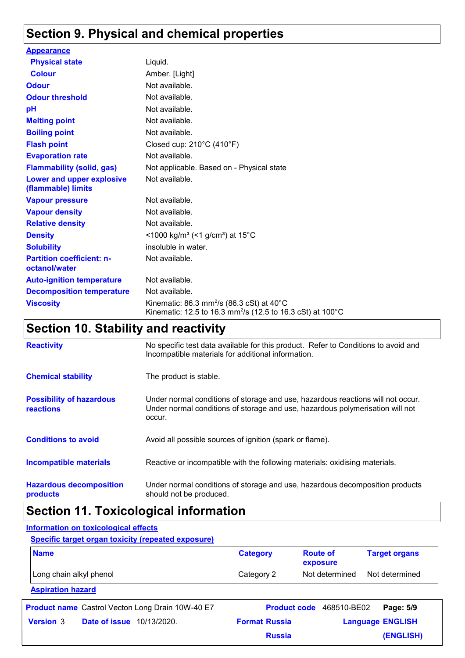### **Section 9. Physical and chemical properties**

| <b>Appearance</b>                                 |                                                                                                                                           |
|---------------------------------------------------|-------------------------------------------------------------------------------------------------------------------------------------------|
| <b>Physical state</b>                             | Liquid.                                                                                                                                   |
| <b>Colour</b>                                     | Amber. [Light]                                                                                                                            |
| <b>Odour</b>                                      | Not available.                                                                                                                            |
| <b>Odour threshold</b>                            | Not available.                                                                                                                            |
| pH                                                | Not available.                                                                                                                            |
| <b>Melting point</b>                              | Not available.                                                                                                                            |
| <b>Boiling point</b>                              | Not available.                                                                                                                            |
| <b>Flash point</b>                                | Closed cup: $210^{\circ}$ C (410 $^{\circ}$ F)                                                                                            |
| <b>Evaporation rate</b>                           | Not available.                                                                                                                            |
| <b>Flammability (solid, gas)</b>                  | Not applicable. Based on - Physical state                                                                                                 |
| Lower and upper explosive<br>(flammable) limits   | Not available.                                                                                                                            |
| <b>Vapour pressure</b>                            | Not available.                                                                                                                            |
| <b>Vapour density</b>                             | Not available.                                                                                                                            |
| <b>Relative density</b>                           | Not available.                                                                                                                            |
| <b>Density</b>                                    | <1000 kg/m <sup>3</sup> (<1 g/cm <sup>3</sup> ) at 15 <sup>°</sup> C                                                                      |
| <b>Solubility</b>                                 | insoluble in water.                                                                                                                       |
| <b>Partition coefficient: n-</b><br>octanol/water | Not available.                                                                                                                            |
| <b>Auto-ignition temperature</b>                  | Not available.                                                                                                                            |
| <b>Decomposition temperature</b>                  | Not available.                                                                                                                            |
| <b>Viscosity</b>                                  | Kinematic: 86.3 mm <sup>2</sup> /s (86.3 cSt) at $40^{\circ}$ C<br>Kinematic: 12.5 to 16.3 mm <sup>2</sup> /s (12.5 to 16.3 cSt) at 100°C |

# **Section 10. Stability and reactivity**

| <b>Reactivity</b>                            | No specific test data available for this product. Refer to Conditions to avoid and<br>Incompatible materials for additional information.                                   |
|----------------------------------------------|----------------------------------------------------------------------------------------------------------------------------------------------------------------------------|
| <b>Chemical stability</b>                    | The product is stable.                                                                                                                                                     |
| <b>Possibility of hazardous</b><br>reactions | Under normal conditions of storage and use, hazardous reactions will not occur.<br>Under normal conditions of storage and use, hazardous polymerisation will not<br>occur. |
| <b>Conditions to avoid</b>                   | Avoid all possible sources of ignition (spark or flame).                                                                                                                   |
| Incompatible materials                       | Reactive or incompatible with the following materials: oxidising materials.                                                                                                |
| <b>Hazardous decomposition</b><br>products   | Under normal conditions of storage and use, hazardous decomposition products<br>should not be produced.                                                                    |

# **Section 11. Toxicological information**

#### **Information on toxicological effects**

**Specific target organ toxicity (repeated exposure)**

| <b>Name</b>              | <b>Category</b> | <b>Route of</b><br>exposure | <b>Target organs</b> |
|--------------------------|-----------------|-----------------------------|----------------------|
| Long chain alkyl phenol  | Category 2      | Not determined              | Not determined       |
| <b>Aspiration hazard</b> |                 |                             |                      |

**Date of issue** 10/13/2020. **Version** 3 **Format Russia Language Product name** Castrol Vecton Long Drain 10W-40 E7 **Product code** 468510-BE02 **Page: 5/9 Language ENGLISH (ENGLISH)** Product code 468510-BE02 Page: 5/9 **Russia**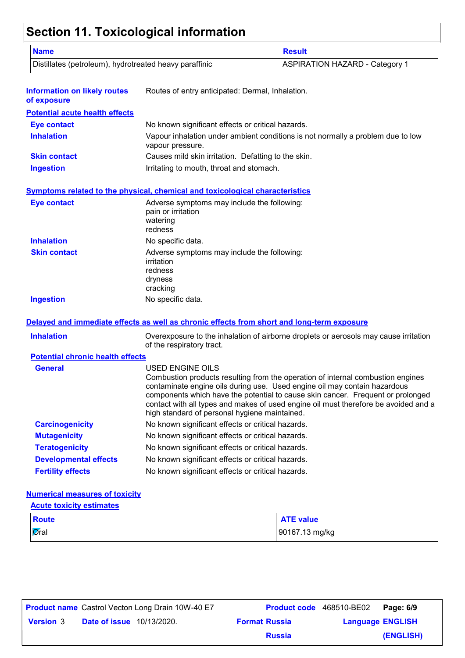# **Section 11. Toxicological information**

| <b>Name</b>                                            | <b>Result</b>                                                                                                                                                                                                                                                                                                                                                                                                      |
|--------------------------------------------------------|--------------------------------------------------------------------------------------------------------------------------------------------------------------------------------------------------------------------------------------------------------------------------------------------------------------------------------------------------------------------------------------------------------------------|
| Distillates (petroleum), hydrotreated heavy paraffinic | <b>ASPIRATION HAZARD - Category 1</b>                                                                                                                                                                                                                                                                                                                                                                              |
| <b>Information on likely routes</b><br>of exposure     | Routes of entry anticipated: Dermal, Inhalation.                                                                                                                                                                                                                                                                                                                                                                   |
| <b>Potential acute health effects</b>                  |                                                                                                                                                                                                                                                                                                                                                                                                                    |
| <b>Eye contact</b>                                     | No known significant effects or critical hazards.                                                                                                                                                                                                                                                                                                                                                                  |
| <b>Inhalation</b>                                      | Vapour inhalation under ambient conditions is not normally a problem due to low<br>vapour pressure.                                                                                                                                                                                                                                                                                                                |
| <b>Skin contact</b>                                    | Causes mild skin irritation. Defatting to the skin.                                                                                                                                                                                                                                                                                                                                                                |
| <b>Ingestion</b>                                       | Irritating to mouth, throat and stomach.                                                                                                                                                                                                                                                                                                                                                                           |
|                                                        | <b>Symptoms related to the physical, chemical and toxicological characteristics</b>                                                                                                                                                                                                                                                                                                                                |
| <b>Eye contact</b>                                     | Adverse symptoms may include the following:<br>pain or irritation<br>watering<br>redness                                                                                                                                                                                                                                                                                                                           |
| <b>Inhalation</b>                                      | No specific data.                                                                                                                                                                                                                                                                                                                                                                                                  |
| <b>Skin contact</b>                                    | Adverse symptoms may include the following:<br>irritation<br>redness<br>dryness<br>cracking                                                                                                                                                                                                                                                                                                                        |
| <b>Ingestion</b>                                       | No specific data.                                                                                                                                                                                                                                                                                                                                                                                                  |
|                                                        | Delayed and immediate effects as well as chronic effects from short and long-term exposure                                                                                                                                                                                                                                                                                                                         |
| <b>Inhalation</b>                                      | Overexposure to the inhalation of airborne droplets or aerosols may cause irritation<br>of the respiratory tract.                                                                                                                                                                                                                                                                                                  |
| <b>Potential chronic health effects</b>                |                                                                                                                                                                                                                                                                                                                                                                                                                    |
| <b>General</b>                                         | <b>USED ENGINE OILS</b><br>Combustion products resulting from the operation of internal combustion engines<br>contaminate engine oils during use. Used engine oil may contain hazardous<br>components which have the potential to cause skin cancer. Frequent or prolonged<br>contact with all types and makes of used engine oil must therefore be avoided and a<br>high standard of personal hygiene maintained. |
| <b>Carcinogenicity</b>                                 | No known significant effects or critical hazards.                                                                                                                                                                                                                                                                                                                                                                  |
| <b>Mutagenicity</b>                                    | No known significant effects or critical hazards.                                                                                                                                                                                                                                                                                                                                                                  |
| <b>Teratogenicity</b>                                  | No known significant effects or critical hazards.                                                                                                                                                                                                                                                                                                                                                                  |
|                                                        | No known significant effects or critical hazards.                                                                                                                                                                                                                                                                                                                                                                  |
| <b>Developmental effects</b>                           |                                                                                                                                                                                                                                                                                                                                                                                                                    |

#### **Numerical measures of toxicity**

| <b>Acute toxicity estimates</b> |                  |  |
|---------------------------------|------------------|--|
| Route                           | <b>ATE value</b> |  |
| $\overline{\mathsf{O}}$ ral     | 90167.13 mg/kg   |  |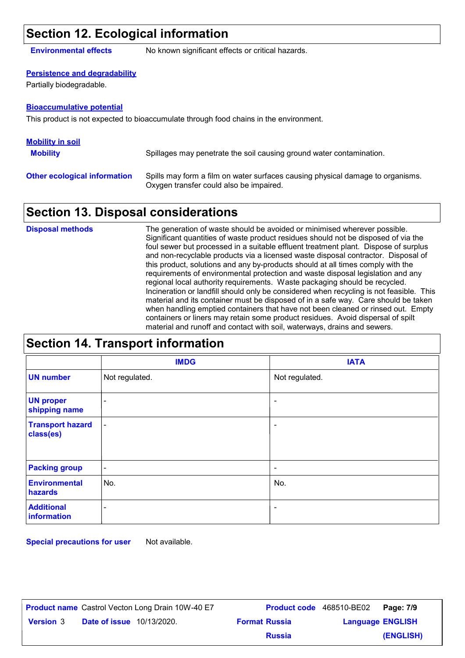### **Section 12. Ecological information**

**Environmental effects** No known significant effects or critical hazards.

#### **Persistence and degradability**

Partially biodegradable.

#### **Bioaccumulative potential**

This product is not expected to bioaccumulate through food chains in the environment.

| <b>Mobility in soil</b>             |                                                                                                                           |
|-------------------------------------|---------------------------------------------------------------------------------------------------------------------------|
| <b>Mobility</b>                     | Spillages may penetrate the soil causing ground water contamination.                                                      |
| <b>Other ecological information</b> | Spills may form a film on water surfaces causing physical damage to organisms.<br>Oxygen transfer could also be impaired. |

### **Section 13. Disposal considerations**

The generation of waste should be avoided or minimised wherever possible. Significant quantities of waste product residues should not be disposed of via the foul sewer but processed in a suitable effluent treatment plant. Dispose of surplus and non-recyclable products via a licensed waste disposal contractor. Disposal of this product, solutions and any by-products should at all times comply with the requirements of environmental protection and waste disposal legislation and any regional local authority requirements. Waste packaging should be recycled. Incineration or landfill should only be considered when recycling is not feasible. This material and its container must be disposed of in a safe way. Care should be taken when handling emptied containers that have not been cleaned or rinsed out. Empty containers or liners may retain some product residues. Avoid dispersal of spilt material and runoff and contact with soil, waterways, drains and sewers. **Disposal methods**

|                                      | <b>IMDG</b>              | <b>IATA</b>              |  |
|--------------------------------------|--------------------------|--------------------------|--|
| <b>UN number</b>                     | Not regulated.           | Not regulated.           |  |
| <b>UN proper</b><br>shipping name    | $\overline{\phantom{0}}$ | $\qquad \qquad$          |  |
| <b>Transport hazard</b><br>class(es) |                          | $\overline{\phantom{a}}$ |  |
| <b>Packing group</b>                 | $\overline{\phantom{a}}$ | $\overline{\phantom{a}}$ |  |
| <b>Environmental</b><br>hazards      | No.                      | No.                      |  |
| <b>Additional</b><br>information     | -                        | ۰                        |  |

**Special precautions for user** Not available.

| <b>Product name</b> Castrol Vecton Long Drain 10W-40 E7 |                      | Product code 468510-BE02 | Page: 7/9 |
|---------------------------------------------------------|----------------------|--------------------------|-----------|
| <b>Date of issue</b> 10/13/2020.<br><b>Version</b> 3    | <b>Format Russia</b> | <b>Language ENGLISH</b>  |           |
|                                                         | <b>Russia</b>        |                          | (ENGLISH) |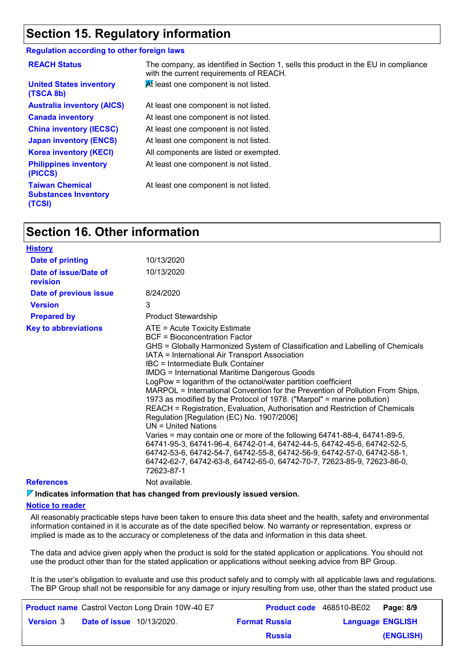### **Section 15. Regulatory information**

#### **Regulation according to other foreign laws**

| <b>REACH Status</b>                                             | The company, as identified in Section 1, sells this product in the EU in compliance<br>with the current requirements of REACH. |
|-----------------------------------------------------------------|--------------------------------------------------------------------------------------------------------------------------------|
| <b>United States inventory</b><br>(TSCA 8b)                     | At least one component is not listed.                                                                                          |
| <b>Australia inventory (AICS)</b>                               | At least one component is not listed.                                                                                          |
| <b>Canada inventory</b>                                         | At least one component is not listed.                                                                                          |
| <b>China inventory (IECSC)</b>                                  | At least one component is not listed.                                                                                          |
| <b>Japan inventory (ENCS)</b>                                   | At least one component is not listed.                                                                                          |
| <b>Korea inventory (KECI)</b>                                   | All components are listed or exempted.                                                                                         |
| <b>Philippines inventory</b><br>(PICCS)                         | At least one component is not listed.                                                                                          |
| <b>Taiwan Chemical</b><br><b>Substances Inventory</b><br>(TCSI) | At least one component is not listed.                                                                                          |

### **Section 16. Other information**

| <b>History</b>                    |                                                                                                                                                                                                                                                                                                                                                                                                                                                                                                                                                                                                                                                                                                                                                                                                                                                                                                                                                                                                                |
|-----------------------------------|----------------------------------------------------------------------------------------------------------------------------------------------------------------------------------------------------------------------------------------------------------------------------------------------------------------------------------------------------------------------------------------------------------------------------------------------------------------------------------------------------------------------------------------------------------------------------------------------------------------------------------------------------------------------------------------------------------------------------------------------------------------------------------------------------------------------------------------------------------------------------------------------------------------------------------------------------------------------------------------------------------------|
| <b>Date of printing</b>           | 10/13/2020                                                                                                                                                                                                                                                                                                                                                                                                                                                                                                                                                                                                                                                                                                                                                                                                                                                                                                                                                                                                     |
| Date of issue/Date of<br>revision | 10/13/2020                                                                                                                                                                                                                                                                                                                                                                                                                                                                                                                                                                                                                                                                                                                                                                                                                                                                                                                                                                                                     |
| Date of previous issue            | 8/24/2020                                                                                                                                                                                                                                                                                                                                                                                                                                                                                                                                                                                                                                                                                                                                                                                                                                                                                                                                                                                                      |
| <b>Version</b>                    | 3                                                                                                                                                                                                                                                                                                                                                                                                                                                                                                                                                                                                                                                                                                                                                                                                                                                                                                                                                                                                              |
| <b>Prepared by</b>                | <b>Product Stewardship</b>                                                                                                                                                                                                                                                                                                                                                                                                                                                                                                                                                                                                                                                                                                                                                                                                                                                                                                                                                                                     |
| <b>Key to abbreviations</b>       | ATE = Acute Toxicity Estimate<br>BCF = Bioconcentration Factor<br>GHS = Globally Harmonized System of Classification and Labelling of Chemicals<br>IATA = International Air Transport Association<br>IBC = Intermediate Bulk Container<br><b>IMDG = International Maritime Dangerous Goods</b><br>LogPow = logarithm of the octanol/water partition coefficient<br>MARPOL = International Convention for the Prevention of Pollution From Ships,<br>1973 as modified by the Protocol of 1978. ("Marpol" = marine pollution)<br>REACH = Registration, Evaluation, Authorisation and Restriction of Chemicals<br>Regulation [Regulation (EC) No. 1907/2006]<br>$UN = United Nations$<br>Varies = may contain one or more of the following 64741-88-4, 64741-89-5,<br>64741-95-3, 64741-96-4, 64742-01-4, 64742-44-5, 64742-45-6, 64742-52-5,<br>64742-53-6, 64742-54-7, 64742-55-8, 64742-56-9, 64742-57-0, 64742-58-1,<br>64742-62-7, 64742-63-8, 64742-65-0, 64742-70-7, 72623-85-9, 72623-86-0,<br>72623-87-1 |
| <b>References</b>                 | Not available.                                                                                                                                                                                                                                                                                                                                                                                                                                                                                                                                                                                                                                                                                                                                                                                                                                                                                                                                                                                                 |
|                                   |                                                                                                                                                                                                                                                                                                                                                                                                                                                                                                                                                                                                                                                                                                                                                                                                                                                                                                                                                                                                                |

**Indicates information that has changed from previously issued version.**

#### **Notice to reader**

All reasonably practicable steps have been taken to ensure this data sheet and the health, safety and environmental information contained in it is accurate as of the date specified below. No warranty or representation, express or implied is made as to the accuracy or completeness of the data and information in this data sheet.

The data and advice given apply when the product is sold for the stated application or applications. You should not use the product other than for the stated application or applications without seeking advice from BP Group.

It is the user's obligation to evaluate and use this product safely and to comply with all applicable laws and regulations. The BP Group shall not be responsible for any damage or injury resulting from use, other than the stated product use

|                  |                                  | <b>Product name</b> Castrol Vecton Long Drain 10W-40 E7 |                      | <b>Product code</b> 468510-BE02   Page: 8/9 |           |
|------------------|----------------------------------|---------------------------------------------------------|----------------------|---------------------------------------------|-----------|
| <b>Version 3</b> | <b>Date of issue</b> 10/13/2020. |                                                         | <b>Format Russia</b> | <b>Language ENGLISH</b>                     |           |
|                  |                                  |                                                         | <b>Russia</b>        |                                             | (ENGLISH) |